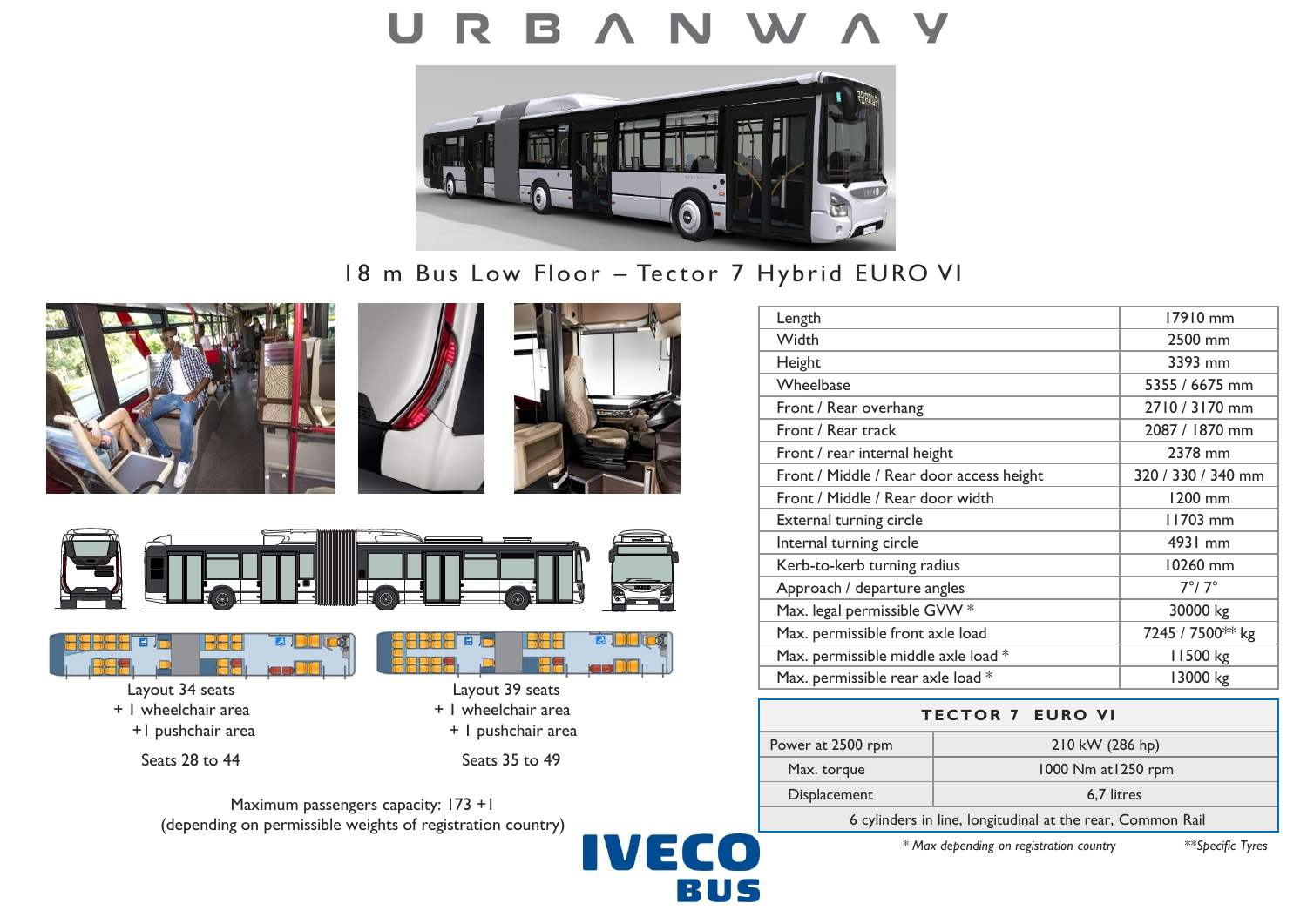## U R



18 m Bus Low Floor – Tector 7 Hybrid EURO VI











Seats 28 to 44 Seats 35 to 49



**E** 





 $\sqrt{100}$ 

**3** 

| Length                                   | 17910 mm           |
|------------------------------------------|--------------------|
| Width                                    | 2500 mm            |
| Height                                   | 3393 mm            |
| Wheelbase                                | 5355 / 6675 mm     |
| Front / Rear overhang                    | 2710 / 3170 mm     |
| Front / Rear track                       | 2087 / 1870 mm     |
| Front / rear internal height             | 2378 mm            |
| Front / Middle / Rear door access height | 320 / 330 / 340 mm |
| Front / Middle / Rear door width         | 1200 mm            |
| External turning circle                  | 11703 mm           |
| Internal turning circle                  | 4931 mm            |
| Kerb-to-kerb turning radius              | 10260 mm           |
| Approach / departure angles              | $7^\circ/7^\circ$  |
| Max. legal permissible GVW *             | 30000 kg           |
| Max. permissible front axle load         | 7245 / 7500** kg   |
| Max. permissible middle axle load *      | 11500 kg           |
| Max. permissible rear axle load *        | 13000 kg           |
|                                          |                    |

| <b>TECTOR 7 EURO VI</b>                                    |                     |
|------------------------------------------------------------|---------------------|
| Power at 2500 rpm                                          | 210 kW (286 hp)     |
| Max. torque                                                | 1000 Nm at 1250 rpm |
| Displacement                                               | 6.7 litres          |
| 6 cylinders in line, longitudinal at the rear, Common Rail |                     |

*\* Max depending on registration country \*\*Specific Tyres*